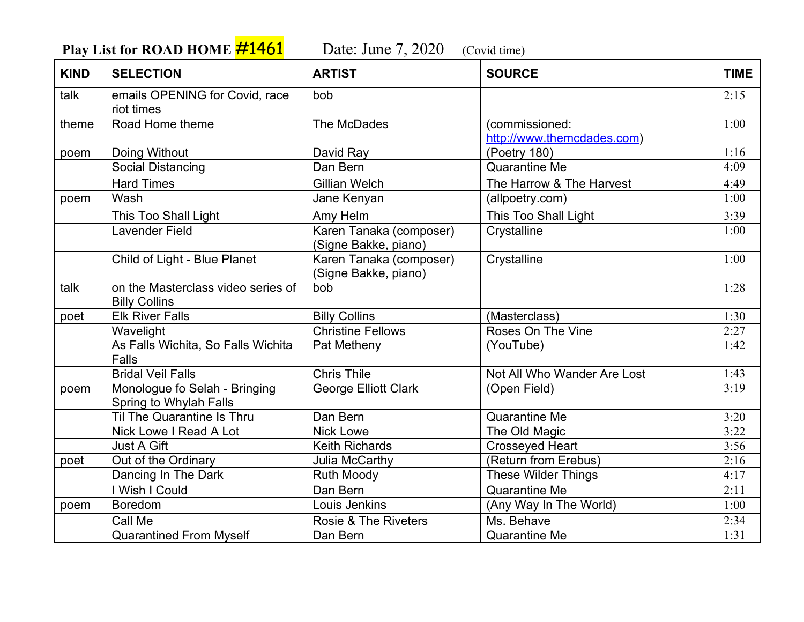**Play List for ROAD HOME**  $\frac{\#1461}{\#1461}$  Date: June 7, 2020 (Covid time)

| <b>KIND</b> | <b>SELECTION</b>                                           | <b>ARTIST</b>                                   | <b>SOURCE</b>                                | <b>TIME</b> |
|-------------|------------------------------------------------------------|-------------------------------------------------|----------------------------------------------|-------------|
| talk        | emails OPENING for Covid, race<br>riot times               | bob                                             |                                              | 2:15        |
| theme       | Road Home theme                                            | The McDades                                     | (commissioned:<br>http://www.themcdades.com) | 1:00        |
| poem        | Doing Without                                              | David Ray                                       | (Poetry 180)                                 | 1:16        |
|             | <b>Social Distancing</b>                                   | Dan Bern                                        | <b>Quarantine Me</b>                         | 4:09        |
|             | <b>Hard Times</b>                                          | <b>Gillian Welch</b>                            | The Harrow & The Harvest                     | 4:49        |
| poem        | Wash                                                       | Jane Kenyan                                     | (allpoetry.com)                              | 1:00        |
|             | This Too Shall Light                                       | Amy Helm                                        | This Too Shall Light                         | 3:39        |
|             | <b>Lavender Field</b>                                      | Karen Tanaka (composer)<br>(Signe Bakke, piano) | Crystalline                                  | 1:00        |
|             | Child of Light - Blue Planet                               | Karen Tanaka (composer)<br>(Signe Bakke, piano) | Crystalline                                  | 1:00        |
| talk        | on the Masterclass video series of<br><b>Billy Collins</b> | bob                                             |                                              | 1:28        |
| poet        | <b>Elk River Falls</b>                                     | <b>Billy Collins</b>                            | (Masterclass)                                | 1:30        |
|             | Wavelight                                                  | <b>Christine Fellows</b>                        | Roses On The Vine                            | 2:27        |
|             | As Falls Wichita, So Falls Wichita<br><b>Falls</b>         | Pat Metheny                                     | (YouTube)                                    | 1:42        |
|             | <b>Bridal Veil Falls</b>                                   | <b>Chris Thile</b>                              | Not All Who Wander Are Lost                  | 1:43        |
| poem        | Monologue fo Selah - Bringing<br>Spring to Whylah Falls    | George Elliott Clark                            | (Open Field)                                 | 3:19        |
|             | Til The Quarantine Is Thru                                 | Dan Bern                                        | <b>Quarantine Me</b>                         | 3:20        |
|             | Nick Lowe I Read A Lot                                     | <b>Nick Lowe</b>                                | The Old Magic                                | 3:22        |
|             | Just A Gift                                                | <b>Keith Richards</b>                           | <b>Crosseyed Heart</b>                       | 3:56        |
| poet        | Out of the Ordinary                                        | Julia McCarthy                                  | (Return from Erebus)                         | 2:16        |
|             | Dancing In The Dark                                        | <b>Ruth Moody</b>                               | These Wilder Things                          | 4:17        |
|             | I Wish I Could                                             | Dan Bern                                        | <b>Quarantine Me</b>                         | 2:11        |
| poem        | Boredom                                                    | Louis Jenkins                                   | (Any Way In The World)                       | 1:00        |
|             | Call Me                                                    | <b>Rosie &amp; The Riveters</b>                 | Ms. Behave                                   | 2:34        |
|             | <b>Quarantined From Myself</b>                             | Dan Bern                                        | Quarantine Me                                | 1:31        |